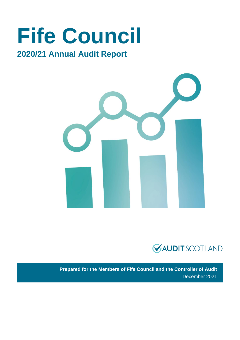# **Fife Council**

### **2020/21 Annual Audit Report**





**Prepared for the Members of Fife Council and the Controller of Audit** December 2021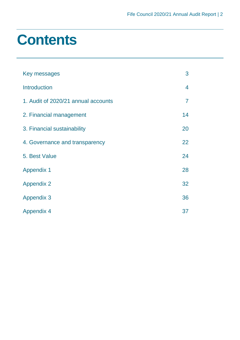## **Contents**

| Key messages                        | 3              |
|-------------------------------------|----------------|
| <b>Introduction</b>                 | 4              |
| 1. Audit of 2020/21 annual accounts | $\overline{7}$ |
| 2. Financial management             | 14             |
| 3. Financial sustainability         | 20             |
| 4. Governance and transparency      | 22             |
| 5. Best Value                       | 24             |
| <b>Appendix 1</b>                   | 28             |
| <b>Appendix 2</b>                   | 32             |
| <b>Appendix 3</b>                   | 36             |
| <b>Appendix 4</b>                   | 37             |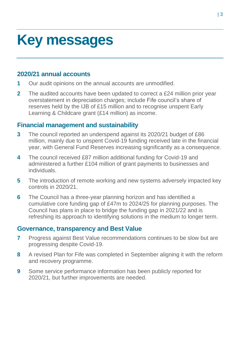## <span id="page-2-0"></span>**Key messages**

### **2020/21 annual accounts**

- **1** Our audit opinions on the annual accounts are unmodified.
- **2** The audited accounts have been updated to correct a £24 million prior year overstatement in depreciation charges; include Fife council's share of reserves held by the IJB of £15 million and to recognise unspent Early Learning & Childcare grant (£14 million) as income.

### **Financial management and sustainability**

- **3** The council reported an underspend against its 2020/21 budget of £86 million, mainly due to unspent Covid-19 funding received late in the financial year, with General Fund Reserves increasing significantly as a consequence.
- **4** The council received £87 million additional funding for Covid-19 and administered a further £104 million of grant payments to businesses and individuals.
- **5** The introduction of remote working and new systems adversely impacted key controls in 2020/21.
- **6** The Council has a three-year planning horizon and has identified a cumulative core funding gap of £47m to 2024/25 for planning purposes. The Council has plans in place to bridge the funding gap in 2021/22 and is refreshing its approach to identifying solutions in the medium to longer term.

#### **Governance, transparency and Best Value**

- **7** Progress against Best Value recommendations continues to be slow but are progressing despite Covid-19.
- **8** A revised Plan for Fife was completed in September aligning it with the reform and recovery programme.
- **9** Some service performance information has been publicly reported for 2020/21, but further improvements are needed.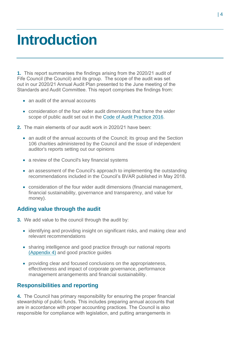## <span id="page-3-0"></span>**Introduction**

**1.** This report summarises the findings arising from the 2020/21 audit of Fife Council (the Council) and its group. The scope of the audit was set out in our 2020/21 Annual Audit Plan presented to the June meeting of the Standards and Audit Committee. This report comprises the findings from:

- an audit of the annual accounts
- consideration of the four wider audit dimensions that frame the wider scope of public audit set out in the [Code of Audit Practice 2016.](http://www.audit-scotland.gov.uk/report/code-of-audit-practice-2016)
- **2.** The main elements of our audit work in 2020/21 have been:
	- an audit of the annual accounts of the Council; its group and the Section 106 charities administered by the Council and the issue of independent auditor's reports setting out our opinions
	- a review of the Council's key financial systems
	- an assessment of the Council's approach to implementing the outstanding recommendations included in the Council's BVAR published in May 2018.
	- consideration of the four wider audit dimensions (financial management, financial sustainability, governance and transparency, and value for money).

#### **Adding value through the audit**

- **3.** We add value to the council through the audit by:
	- identifying and providing insight on significant risks, and making clear and relevant recommendations
	- sharing intelligence and good practice through our national reports [\(Appendix 4\)](#page-36-0) and good practice guides
	- providing clear and focused conclusions on the appropriateness, effectiveness and impact of corporate governance, performance management arrangements and financial sustainability.

#### **Responsibilities and reporting**

**4.** The Council has primary responsibility for ensuring the proper financial stewardship of public funds. This includes preparing annual accounts that are in accordance with proper accounting practices. The Council is also responsible for compliance with legislation, and putting arrangements in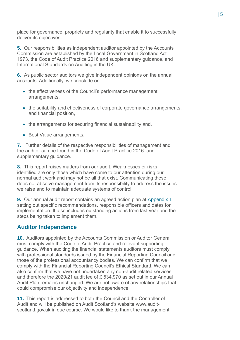place for governance, propriety and regularity that enable it to successfully deliver its objectives.

**5.** Our responsibilities as independent auditor appointed by the Accounts Commission are established by the Local Government in Scotland Act 1973, the [Code of Audit Practice 2016](http://www.audit-scotland.gov.uk/report/code-of-audit-practice-2016) and supplementary guidance, and International Standards on Auditing in the UK.

**6.** As public sector auditors we give independent opinions on the annual accounts. Additionally, we conclude on:

- the effectiveness of the Council's performance management arrangements,
- the suitability and effectiveness of corporate governance arrangements, and financial position,
- the arrangements for securing financial sustainability and,
- Best Value arrangements.

**7.** Further details of the respective responsibilities of management and the auditor can be found in the Code [of Audit Practice 2016.](http://www.audit-scotland.gov.uk/report/code-of-audit-practice-2016) and supplementary guidance.

**8.** This report raises matters from our audit. Weaknesses or risks identified are only those which have come to our attention during our normal audit work and may not be all that exist. Communicating these does not absolve management from its responsibility to address the issues we raise and to maintain adequate systems of control.

**9.** Our annual audit report contains an agreed action plan at [Appendix 1](#page-27-0) setting out specific recommendations, responsible officers and dates for implementation. It also includes outstanding actions from last year and the steps being taken to implement them.

#### **Auditor Independence**

**10.** Auditors appointed by the Accounts Commission or Auditor General must comply with the Code of Audit Practice and relevant supporting guidance. When auditing the financial statements auditors must comply with professional standards issued by the Financial Reporting Council and those of the professional accountancy bodies. We can confirm that we comply with the Financial Reporting Council's Ethical Standard. We can also confirm that we have not undertaken any non-audit related services and therefore the 2020/21 audit fee of £ 534,970 as set out in our Annual Audit Plan remains unchanged. We are not aware of any relationships that could compromise our objectivity and independence.

**11.** This report is addressed to both the Council and the Controller of Audit and will be published on Audit Scotland's website [www.audit](http://www.audit-scotland.gov.uk/)[scotland.gov.uk](http://www.audit-scotland.gov.uk/) in due course. We would like to thank the management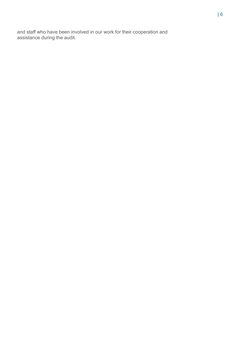and staff who have been involved in our work for their cooperation and assistance during the audit.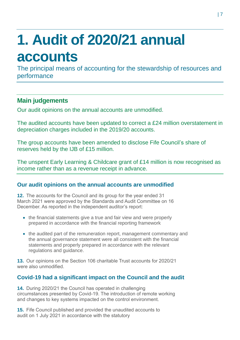# <span id="page-6-0"></span>**1. Audit of 2020/21 annual accounts**

The principal means of accounting for the stewardship of resources and performance

### **Main judgements**

Our audit opinions on the annual accounts are unmodified.

The audited accounts have been updated to correct a £24 million overstatement in depreciation charges included in the 2019/20 accounts.

The group accounts have been amended to disclose Fife Council's share of reserves held by the IJB of £15 million.

The unspent Early Learning & Childcare grant of £14 million is now recognised as income rather than as a revenue receipt in advance.

#### **Our audit opinions on the annual accounts are unmodified**

**12.** The accounts for the Council and its group for the year ended 31 March 2021 were approved by the Standards and Audit Committee on 16 December. As reported in the independent auditor's report:

- the financial statements give a true and fair view and were properly prepared in accordance with the financial reporting framework
- the audited part of the remuneration report, management commentary and the annual governance statement were all consistent with the financial statements and properly prepared in accordance with the relevant regulations and guidance.

**13.** Our opinions on the Section 106 charitable Trust accounts for 2020/21 were also unmodified.

#### **Covid-19 had a significant impact on the Council and the audit**

**14.** During 2020/21 the Council has operated in challenging circumstances presented by Covid-19. The introduction of remote working and changes to key systems impacted on the control environment.

**15.** Fife Council published and provided the unaudited accounts to audit on 1 July 2021 in accordance with the statutory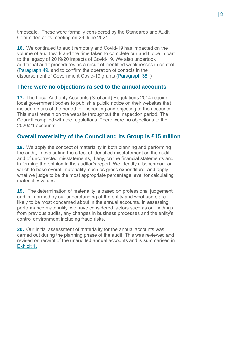timescale. These were formally considered by the Standards and Audit Committee at its meeting on 29 June 2021.

**16.** We continued to audit remotely and Covid-19 has impacted on the volume of audit work and the time taken to complete our audit, due in part to the legacy of 2019/20 impacts of Covid-19. We also undertook additional audit procedures as a result of identified weaknesses in control (Paragraph [49. a](#page-18-0)nd to confirm the operation of controls in the disbursement of Government Covid-19 grants (Paragraph [38.](#page-15-0) )

#### **There were no objections raised to the annual accounts**

**17.** The Local Authority Accounts (Scotland) Regulations 2014 require local government bodies to publish a public notice on their websites that include details of the period for inspecting and objecting to the accounts. This must remain on the website throughout the inspection period. The Council complied with the regulations. There were no objections to the 2020/21 accounts.

#### **Overall materiality of the Council and its Group is £15 million**

**18.** We apply the concept of materiality in both planning and performing the audit, in evaluating the effect of identified misstatement on the audit and of uncorrected misstatements, if any, on the financial statements and in forming the opinion in the auditor's report. We identify a benchmark on which to base overall materiality, such as gross expenditure, and apply what we judge to be the most appropriate percentage level for calculating materiality values.

**19.** The determination of materiality is based on professional judgement and is informed by our understanding of the entity and what users are likely to be most concerned about in the annual accounts. In assessing performance materiality, we have considered factors such as our findings from previous audits, any changes in business processes and the entity's control environment including fraud risks.

**20.** Our initial assessment of materiality for the annual accounts was carried out during the planning phase of the audit. This was reviewed and revised on receipt of the unaudited annual accounts and is summarised in Exhibit 1.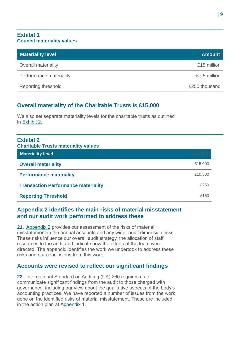#### **Exhibit 1 Council materiality values**

| <b>Materiality level</b>   | <b>Amount</b> |
|----------------------------|---------------|
| <b>Overall materiality</b> | £15 million   |
| Performance materiality    | £7.5 million  |
| <b>Reporting threshold</b> | £250 thousand |

#### **Overall materiality of the Charitable Trusts is £15,000**

We also set separate materiality levels for the charitable trusts as outlined in [Exhibit 2.](#page-8-0)

<span id="page-8-0"></span>

| <b>Exhibit 2</b><br><b>Charitable Trusts materiality values</b> |         |
|-----------------------------------------------------------------|---------|
| <b>Materiality level</b>                                        | Amount  |
| <b>Overall materiality</b>                                      | £15,000 |
| <b>Performance materiality</b>                                  | £10,500 |
| <b>Transaction Performance materiality</b>                      | £250    |
| <b>Reporting Threshold</b>                                      | £150    |

#### **Appendix 2 identifies the main risks of material misstatement and our audit work performed to address these**

**21.** Appendix 2 [provides our assessment of the risks of material](#page-31-0)  [misstatement in the annual accounts and any wider audit dimension risks.](#page-31-0)  [These risks influence our overall audit strategy, the allocation of staff](#page-31-0)  [resources to the audit and indicate how the efforts of the team were](#page-31-0)  [directed. The appendix identifies the work we undertook to address these](#page-31-0)  [risks and our conclusions from this work.](#page-31-0) 

#### **Accounts were revised to reflect our significant findings**

**22.** International Standard on Auditing (UK) 260 requires us to communicate significant findings from the audit to those charged with governance, including our view about the qualitative aspects of the body's accounting practices. We have reported a number of issues from the work done on the identified risks of material misstatement. These are included in the action plan at [Appendix 1.](#page-27-0)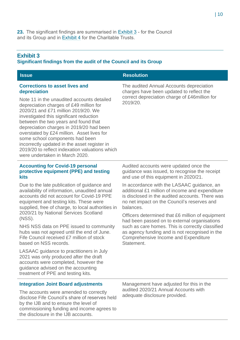#### <span id="page-9-0"></span>**Exhibit 3**

#### **Significant findings from the audit of the Council and its Group**

| <b>Issue</b>                                                                                                                                                                                                                                                                                                                                                                                                                                                                     | <b>Resolution</b>                                                                                                                     |
|----------------------------------------------------------------------------------------------------------------------------------------------------------------------------------------------------------------------------------------------------------------------------------------------------------------------------------------------------------------------------------------------------------------------------------------------------------------------------------|---------------------------------------------------------------------------------------------------------------------------------------|
| <b>Corrections to asset lives and</b><br>depreciation                                                                                                                                                                                                                                                                                                                                                                                                                            | The audited Annual Accounts depreciation<br>charges have been updated to reflect the<br>correct depreciation charge of £46million for |
| Note 11 in the unaudited accounts detailed<br>depreciation charges of £49 million for<br>2020/21 and £71 million 2019/20. We<br>investigated this significant reduction<br>between the two years and found that<br>depreciation charges in 2019/20 had been<br>overstated by £24 million. Asset lives for<br>some school components had been<br>incorrectly updated in the asset register in<br>2019/20 to reflect indexation valuations which<br>were undertaken in March 2020. | 2019/20.                                                                                                                              |

#### **Accounting for Covid-19 personal protective equipment (PPE) and testing kits**

Due to the late publication of guidance and availability of information, unaudited annual accounts did not account for Covid-19 PPE equipment and testing kits. These were supplied, free of charge, to local authorities in 2020/21 by National Services Scotland (NSS).

NHS NSS data on PPE issued to community hubs was not agreed until the end of June. Fife Council received £7 million of stock based on NSS records.

LASAAC guidance to practitioners in July 2021 was only produced after the draft accounts were completed, however the guidance advised on the accounting treatment of PPE and testing kits.

Audited accounts were updated once the guidance was issued, to recognise the receipt and use of this equipment in 2020/21.

In accordance with the LASAAC guidance, an additional £1 million of income and expenditure is disclosed in the audited accounts. There was no net impact on the Council's reserves and balances.

Officers determined that £6 million of equipment had been passed on to external organisations such as care homes. This is correctly classified as agency funding and is not recognised in the Comprehensive Income and Expenditure Statement.

#### **Integration Joint Board adjustments**

The accounts were amended to correctly disclose Fife Council's share of reserves held by the IJB and to ensure the level of commissioning funding and income agrees to the disclosure in the IJB accounts.

Management have adjusted for this in the audited 2020/21 Annual Accounts with adequate disclosure provided.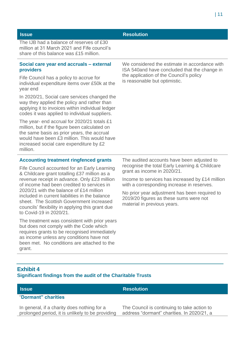The IJB had a balance of reserves of £30 million at 31 March 2021 and Fife council's share of this balance was £15 million.

#### **Social care year end accruals – external providers**

Fife Council has a policy to accrue for individual expenditure items over £50k at the year end

In 2020/21, Social care services changed the way they applied the policy and rather than applying it to invoices within individual ledger codes it was applied to individual suppliers.

The year- end accrual for 2020/21 totals £1 million, but if the figure been calculated on the same basis as prior years, the accrual would have been £3 million. This would have increased social care expenditure by £2 million.

#### **Accounting treatment ringfenced grants**

Fife Council accounted for an Early Learning & Childcare grant totalling £37 million as a revenue receipt in advance. Only £23 million of income had been credited to services in 2020/21 with the balance of £14 million included in current liabilities in the balance sheet. The Scottish Government increased councils' flexibility in applying this grant due to Covid-19 in 2020/21.

The treatment was consistent with prior years but does not comply with the Code which requires grants to be recognised immediately as income unless any conditions have not been met. No conditions are attached to the grant.

We considered the estimate in accordance with ISA 540and have concluded that the change in the application of the Council's policy is reasonable but optimistic.

The audited accounts have been adjusted to recognise the total Early Learning & Childcare grant as income in 2020/21.

Income to services has increased by £14 million with a corresponding increase in reserves.

No prior year adjustment has been required to 2019/20 figures as these sums were not material in previous years.

#### <span id="page-10-0"></span>**Exhibit 4 Significant findings from the audit of the Charitable Trusts**

#### "**Dormant" charities**

In general, if a charity does nothing for a prolonged period, it is unlikely to be providing

#### **Issue Resolution**

The Council is continuing to take action to address "dormant" charities. In 2020/21, a

#### **Issue Resolution**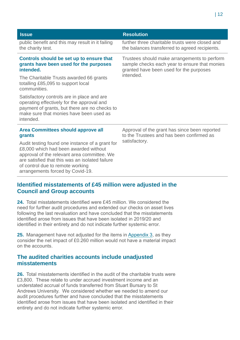| <b>Issue</b>                                                                                                                                                                                                                                                       | <b>Resolution</b>                                                                                                                                     |  |
|--------------------------------------------------------------------------------------------------------------------------------------------------------------------------------------------------------------------------------------------------------------------|-------------------------------------------------------------------------------------------------------------------------------------------------------|--|
| public benefit and this may result in it failing<br>the charity test.                                                                                                                                                                                              | further three charitable trusts were closed and<br>the balances transferred to agreed recipients.                                                     |  |
| Controls should be set up to ensure that<br>grants have been used for the purposes<br>intended.                                                                                                                                                                    | Trustees should make arrangements to perform<br>sample checks each year to ensure that monies<br>granted have been used for the purposes<br>intended. |  |
| The Charitable Trusts awarded 66 grants<br>totalling £85,095 to support local<br>communities.                                                                                                                                                                      |                                                                                                                                                       |  |
| Satisfactory controls are in place and are<br>operating effectively for the approval and<br>payment of grants, but there are no checks to<br>make sure that monies have been used as<br>intended.                                                                  |                                                                                                                                                       |  |
| Area Committees should approve all<br>grants                                                                                                                                                                                                                       | Approval of the grant has since been reported<br>to the Trustees and has been confirmed as                                                            |  |
| Audit testing found one instance of a grant for<br>£8,000 which had been awarded without<br>approval of the relevant area committee. We<br>are satisfied that this was an isolated failure<br>of control due to remote working<br>arrangements forced by Covid-19. | satisfactory.                                                                                                                                         |  |

#### **Identified misstatements of £45 million were adjusted in the Council and Group accounts**

**24.** Total misstatements identified were £45 million. We considered the need for further audit procedures and extended our checks on asset lives following the last revaluation and have concluded that the misstatements identified arose from issues that have been isolated in 2019/20 and identified in their entirety and do not indicate further systemic error.

**25.** Management have not adjusted for the items in [Appendix 3,](#page-35-0) as they consider the net impact of £0.260 million would not have a material impact on the accounts.

#### **The audited charities accounts include unadjusted misstatements**

**26.** Total misstatements identified in the audit of the charitable trusts were £3,800. These relate to under accrued investment income and an understated accrual of funds transferred from Stuart Bursary to St Andrews University. We considered whether we needed to amend our audit procedures further and have concluded that the misstatements identified arose from issues that have been isolated and identified in their entirety and do not indicate further systemic error.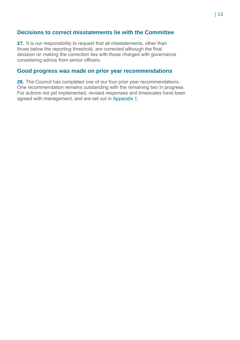#### **Decisions to correct misstatements lie with the Committee**

**27.** It is our responsibility to request that all misstatements, other than those below the reporting threshold, are corrected although the final decision on making the correction lies with those charged with governance considering advice from senior officers.

#### **Good progress was made on prior year recommendations**

**28.** The Council has completed one of our four prior year recommendations. One recommendation remains outstanding with the remaining two in progress. For actions not yet implemented, revised responses and timescales have been agreed with management, and are set out in [Appendix 1.](#page-27-0)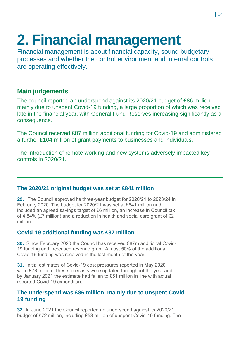# <span id="page-13-0"></span>**2. Financial management**

Financial management is about financial capacity, sound budgetary processes and whether the control environment and internal controls are operating effectively.

### **Main judgements**

The council reported an underspend against its 2020/21 budget of £86 million, mainly due to unspent Covid-19 funding, a large proportion of which was received late in the financial year, with General Fund Reserves increasing significantly as a consequence.

The Council received £87 million additional funding for Covid-19 and administered a further £104 million of grant payments to businesses and individuals.

The introduction of remote working and new systems adversely impacted key controls in 2020/21.

#### **The 2020/21 original budget was set at £841 million**

**29.** The Council approved its three-year budget for 2020/21 to 2023/24 in February 2020. The budget for 2020/21 was set at £841 million and included an agreed savings target of £6 million, an increase in Council tax of 4.84% (£7 million) and a reduction in health and social care grant of £2 million.

#### **Covid-19 additional funding was £87 million**

<span id="page-13-1"></span>**30.** Since February 2020 the Council has received £87m additional Covid-19 funding and increased revenue grant. Almost 50% of the additional Covid-19 funding was received in the last month of the year.

**31.** Initial estimates of Covid-19 cost pressures reported in May 2020 were £78 million. These forecasts were updated throughout the year and by January 2021 the estimate had fallen to £51 million in line with actual reported Covid-19 expenditure.

#### **The underspend was £86 million, mainly due to unspent Covid-19 funding**

**32.** In June 2021 the Council reported an underspend against its 2020/21 budget of £72 million, including £58 million of unspent Covid-19 funding. The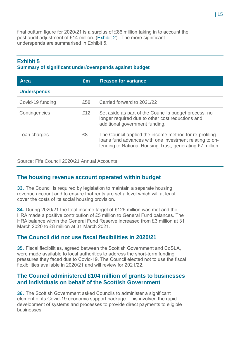final outturn figure for 2020/21 is a surplus of £86 million taking in to account the post audit adjustment of £14 million. [\(Exhibit 2\)](#page-27-1). The more significant underspends are summarised in [Exhibit 5.](#page-14-0)

#### <span id="page-14-0"></span>**Exhibit 5 Summary of significant under/overspends against budget**

| <b>Area</b>        | Em  | <b>Reason for variance</b>                                                                                                                                                     |
|--------------------|-----|--------------------------------------------------------------------------------------------------------------------------------------------------------------------------------|
| <b>Underspends</b> |     |                                                                                                                                                                                |
| Covid-19 funding   | £58 | Carried forward to 2021/22                                                                                                                                                     |
| Contingencies      | £12 | Set aside as part of the Council's budget process, no<br>longer required due to other cost reductions and<br>additional government funding.                                    |
| Loan charges       | £8  | The Council applied the income method for re-profiling<br>loans fund advances with one investment relating to on-<br>lending to National Housing Trust, generating £7 million. |

Source: Fife Council 2020/21 Annual Accounts

#### **The housing revenue account operated within budget**

**33.** The Council is required by legislation to maintain a separate housing revenue account and to ensure that rents are set a level which will at least cover the costs of its social housing provision.

**34.** During 2020/21 the total income target of £126 million was met and the HRA made a positive contribution of £5 million to General Fund balances. The HRA balance within the General Fund Reserve increased from £3 million at 31 March 2020 to £8 million at 31 March 2021.

#### **The Council did not use fiscal flexibilities in 2020/21**

**35.** Fiscal flexibilities, agreed between the Scottish Government and CoSLA, were made available to local authorities to address the short-term funding pressures they faced due to Covid-19. The Council elected not to use the fiscal flexibilities available in 2020/21 and will review for 2021/22.

#### **The Council administered £104 million of grants to businesses and individuals on behalf of the Scottish Government**

**36.** The Scottish Government asked Councils to administer a significant element of its Covid-19 economic support package. This involved the rapid development of systems and processes to provide direct payments to eligible businesses.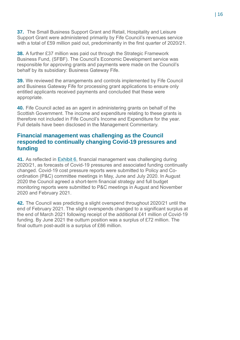**37.** The Small Business Support Grant and Retail, Hospitality and Leisure Support Grant were administered primarily by Fife Council's revenues service with a total of £59 million paid out, predominantly in the first quarter of 2020/21.

<span id="page-15-0"></span>**38.** A further £37 million was paid out through the Strategic Framework Business Fund, (SFBF). The Council's Economic Development service was responsible for approving grants and payments were made on the Council's behalf by its subsidiary: Business Gateway Fife.

**39.** We reviewed the arrangements and controls implemented by Fife Council and Business Gateway Fife for processing grant applications to ensure only entitled applicants received payments and concluded that these were appropriate.

**40.** Fife Council acted as an agent in administering grants on behalf of the Scottish Government. The income and expenditure relating to these grants is therefore not included in Fife Council's Income and Expenditure for the year. Full details have been disclosed in the Management Commentary.

#### **Financial management was challenging as the Council responded to continually changing Covid-19 pressures and funding**

**41.** As reflected in [Exhibit 6,](#page-16-0) financial management was challenging during 2020/21, as forecasts of Covid-19 pressures and associated funding continually changed. Covid-19 cost pressure reports were submitted to Policy and Coordination (P&C) committee meetings in May, June and July 2020. In August 2020 the Council agreed a short-term financial strategy and full budget monitoring reports were submitted to P&C meetings in August and November 2020 and February 2021.

**42.** The Council was predicting a slight overspend throughout 2020/21 until the end of February 2021. The slight overspends changed to a significant surplus at the end of March 2021 following receipt of the additional £41 million of Covid-19 funding. By June 2021 the outturn position was a surplus of £72 million. The final outturn post-audit is a surplus of £86 million.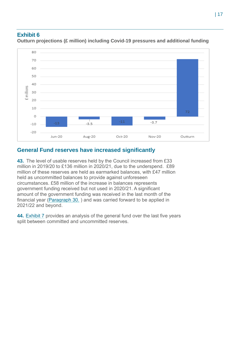#### <span id="page-16-0"></span>**Exhibit 6**



**Outturn projections (£ million) including Covid-19 pressures and additional funding**

#### **General Fund reserves have increased significantly**

**43.** The level of usable reserves held by the Council increased from £33 million in 2019/20 to £136 million in 2020/21, due to the underspend. £89 million of these reserves are held as earmarked balances, with £47 million held as uncommitted balances to provide against unforeseen circumstances. £58 million of the increase in balances represents government funding received but not used in 2020/21. A significant amount of the government funding was received in the last month of the financial year (Paragraph [30.](#page-13-1) ) and was carried forward to be applied in 2021/22 and beyond.

**44.** [Exhibit 7](#page-17-0) provides an analysis of the general fund over the last five years split between committed and uncommitted reserves.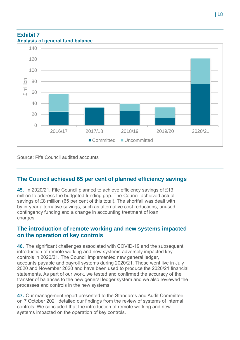#### <span id="page-17-0"></span>**Exhibit 7 Analysis of general fund balance**



Source: Fife Council audited accounts

#### **The Council achieved 65 per cent of planned efficiency savings**

**45.** In 2020/21, Fife Council planned to achieve efficiency savings of £13 million to address the budgeted funding gap. The Council achieved actual savings of £8 million (65 per cent of this total). The shortfall was dealt with by in-year alternative savings, such as alternative cost reductions, unused contingency funding and a change in accounting treatment of loan charges.

#### **The introduction of remote working and new systems impacted on the operation of key controls**

**46.** The significant challenges associated with COVID-19 and the subsequent introduction of remote working and new systems adversely impacted key controls in 2020/21. The Council implemented new general ledger, accounts payable and payroll systems during 2020/21. These went live in July 2020 and November 2020 and have been used to produce the 2020/21 financial statements. As part of our work, we tested and confirmed the accuracy of the transfer of balances to the new general ledger system and we also reviewed the processes and controls in the new systems.

**47.** Our management report presented to the Standards and Audit Committee on 7 October 2021 detailed our findings from the review of systems of internal controls. We concluded that the introduction of remote working and new systems impacted on the operation of key controls.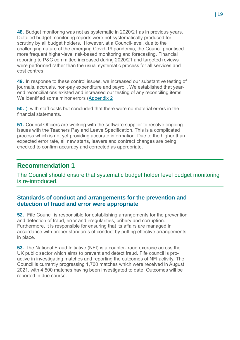**48.** Budget monitoring was not as systematic in 2020/21 as in previous years. Detailed budget monitoring reports were not systematically produced for scrutiny by all budget holders. However, at a Council-level, due to the challenging nature of the emerging Covid-19 pandemic, the Council prioritised more frequent higher-level risk-based monitoring and forecasting. Financial reporting to P&C committee increased during 2020/21 and targeted reviews were performed rather than the usual systematic process for all services and cost centres.

<span id="page-18-0"></span>**49.** In response to these control issues, we increased our substantive testing of journals, accruals, non-pay expenditure and payroll. We established that yearend reconciliations existed and increased our testing of any reconciling items. We identified some minor errors [\(Appendix 2](#page-31-0) 

**50.** ) with staff costs but concluded that there were no material errors in the financial statements.

**51.** Council Officers are working with the software supplier to resolve ongoing issues with the Teachers Pay and Leave Specification. This is a complicated process which is not yet providing accurate information. Due to the higher than expected error rate, all new starts, leavers and contract changes are being checked to confirm accuracy and corrected as appropriate.

#### **Recommendation 1**

The Council should ensure that systematic budget holder level budget monitoring is re-introduced.

#### **Standards of conduct and arrangements for the prevention and detection of fraud and error were appropriate**

**52.** Fife Council is responsible for establishing arrangements for the prevention and detection of fraud, error and irregularities, bribery and corruption. Furthermore, it is responsible for ensuring that its affairs are managed in accordance with proper standards of conduct by putting effective arrangements in place.

**53.** The National Fraud Initiative (NFI) is a counter-fraud exercise across the UK public sector which aims to prevent and detect fraud. Fife council is proactive in investigating matches and reporting the outcomes of NFI activity. The Council is currently progressing 1,700 matches which were received in August 2021, with 4,500 matches having been investigated to date. Outcomes will be reported in due course.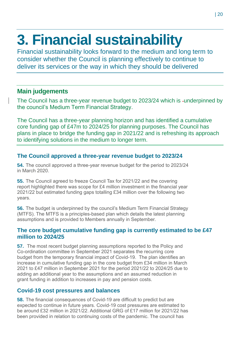# <span id="page-19-0"></span>**3. Financial sustainability**

Financial sustainability looks forward to the medium and long term to consider whether the Council is planning effectively to continue to deliver its services or the way in which they should be delivered

#### **Main judgements**

The Council has a three-year revenue budget to 2023/24 which is -underpinned by the council's Medium Term Financial Strategy.

The Council has a three-year planning horizon and has identified a cumulative core funding gap of £47m to 2024/25 for planning purposes. The Council has plans in place to bridge the funding gap in 2021/22 and is refreshing its approach to identifying solutions in the medium to longer term.

#### **The Council approved a three-year revenue budget to 2023/24**

**54.** The council approved a three-year revenue budget for the period to 2023/24 in March 2020.

**55.** The Council agreed to freeze Council Tax for 2021/22 and the covering report highlighted there was scope for £4 million investment in the financial year 2021/22 but estimated funding gaps totalling £34 million over the following two years.

**56.** The budget is underpinned by the council's Medium Term Financial Strategy (MTFS). The MTFS is a principles-based plan which details the latest planning assumptions and is provided to Members annually in September.

#### **The core budget cumulative funding gap is currently estimated to be £47 million to 2024/25**

**57.** The most recent budget planning assumptions reported to the Policy and Co-ordination committee in September 2021 separates the recurring core budget from the temporary financial impact of Covid-19. The plan identifies an increase in cumulative funding gap in the core budget from £34 million in March 2021 to £47 million in September 2021 for the period 2021/22 to 2024/25 due to adding an additional year to the assumptions and an assumed reduction in grant funding in addition to increases in pay and pension costs.

#### **Covid-19 cost pressures and balances**

<span id="page-19-1"></span>**58.** The financial consequences of Covid-19 are difficult to predict but are expected to continue in future years. Covid-19 cost pressures are estimated to be around £32 million in 2021/22. Additional GRG of £17 million for 2021/22 has been provided in relation to continuing costs of the pandemic. The council has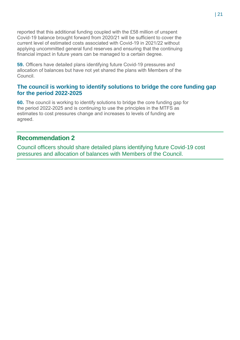reported that this additional funding coupled with the £58 million of unspent Covid-19 balance brought forward from 2020/21 will be sufficient to cover the current level of estimated costs associated with Covid-19 in 2021/22 without applying uncommitted general fund reserves and ensuring that the continuing financial impact in future years can be managed to a certain degree.

**59.** Officers have detailed plans identifying future Covid-19 pressures and allocation of balances but have not yet shared the plans with Members of the Council.

#### **The council is working to identify solutions to bridge the core funding gap for the period 2022-2025**

**60.** The council is working to identify solutions to bridge the core funding gap for the period 2022-2025 and is continuing to use the principles in the MTFS as estimates to cost pressures change and increases to levels of funding are agreed.

#### **Recommendation 2**

Council officers should share detailed plans identifying future Covid-19 cost pressures and allocation of balances with Members of the Council.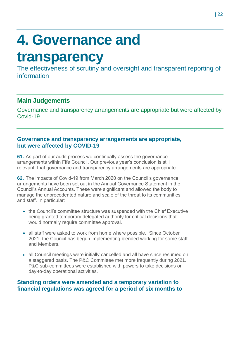# <span id="page-21-0"></span>**4. Governance and**

### **transparency**

The effectiveness of scrutiny and oversight and transparent reporting of information

### **Main Judgements**

Governance and transparency arrangements are appropriate but were affected by Covid-19.

#### **Governance and transparency arrangements are appropriate, but were affected by COVID-19**

**61.** As part of our audit process we continually assess the governance arrangements within Fife Council. Our previous year's conclusion is still relevant: that governance and transparency arrangements are appropriate.

**62.** The impacts of Covid-19 from March 2020 on the Council's governance arrangements have been set out in the Annual Governance Statement in the Council's Annual Accounts. These were significant and allowed the body to manage the unprecedented nature and scale of the threat to its communities and staff. In particular:

- the Council's committee structure was suspended with the Chief Executive being granted temporary delegated authority for critical decisions that would normally require committee approval.
- all staff were asked to work from home where possible. Since October 2021, the Council has begun implementing blended working for some staff and Members.
- all Council meetings were initially cancelled and all have since resumed on a staggered basis. The P&C Committee met more frequently during 2021. P&C sub-committees were established with powers to take decisions on day-to-day operational activities.

#### **Standing orders were amended and a temporary variation to financial regulations was agreed for a period of six months to**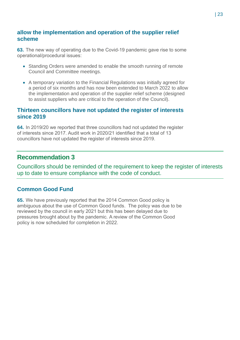#### **allow the implementation and operation of the supplier relief scheme**

<span id="page-22-0"></span>**63.** The new way of operating due to the Covid-19 pandemic gave rise to some operational/procedural issues:

- Standing Orders were amended to enable the smooth running of remote Council and Committee meetings.
- A temporary variation to the Financial Regulations was initially agreed for a period of six months and has now been extended to March 2022 to allow the implementation and operation of the supplier relief scheme (designed to assist suppliers who are critical to the operation of the Council).

#### **Thirteen councillors have not updated the register of interests since 2019**

**64.** In 2019/20 we reported that three councillors had not updated the register of interests since 2017. Audit work in 2020/21 identified that a total of 13 councillors have not updated the register of interests since 2019.

#### **Recommendation 3**

Councillors should be reminded of the requirement to keep the register of interests up to date to ensure compliance with the code of conduct.

#### **Common Good Fund**

**65.** We have previously reported that the 2014 Common Good policy is ambiguous about the use of Common Good funds. The policy was due to be reviewed by the council in early 2021 but this has been delayed due to pressures brought about by the pandemic. A review of the Common Good policy is now scheduled for completion in 2022.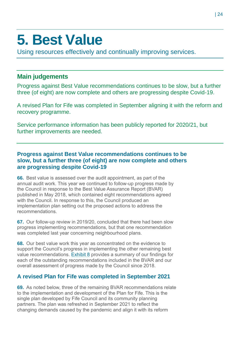## <span id="page-23-0"></span>**5. Best Value**

Using resources effectively and continually improving services.

### **Main judgements**

Progress against Best Value recommendations continues to be slow, but a further three (of eight) are now complete and others are progressing despite Covid-19.

A revised Plan for Fife was completed in September aligning it with the reform and recovery programme.

Service performance information has been publicly reported for 2020/21, but further improvements are needed.

#### **Progress against Best Value recommendations continues to be slow, but a further three (of eight) are now complete and others are progressing despite Covid-19**

**66.** Best value is assessed over the audit appointment, as part of the annual audit work. This year we continued to follow-up progress made by the Council in response to the Best Value Assurance Report (BVAR) published in May 2018, which contained eight recommendations agreed with the Council. In response to this, the Council produced an implementation plan setting out the proposed actions to address the recommendations.

**67.** Our follow-up review in 2019/20, concluded that there had been slow progress implementing recommendations, but that one recommendation was completed last year concerning neighbourhood plans.

**68.** Our best value work this year as concentrated on the evidence to support the Council's progress in implementing the other remaining best value recommendations. [Exhibit 8](#page-24-0) provides a summary of our findings for each of the outstanding recommendations included in the BVAR and our overall assessment of progress made by the Council since 2018.

#### **A revised Plan for Fife was completed in September 2021**

**69.** As noted below, three of the remaining BVAR recommendations relate to the implementation and development of the Plan for Fife. This is the single plan developed by Fife Council and its community planning partners. The plan was refreshed in September 2021 to reflect the changing demands caused by the pandemic and align it with its reform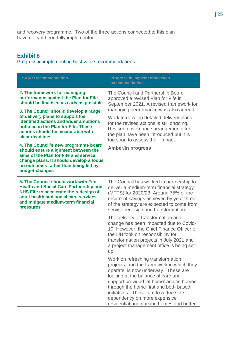and recovery programme. Two of the three actions connected to this plan have not yet been fully implemented.

#### <span id="page-24-0"></span>**Exhibit 8**

Progress in implementing best value recommendations

| <b>BVAR Recommendation</b>                                                                                                                                                                                                                                                                                                                                                                                                                                        | <b>Progress in implementing each</b><br>recommendation                                                                                                                                                                                                                                                                                                                                                 |
|-------------------------------------------------------------------------------------------------------------------------------------------------------------------------------------------------------------------------------------------------------------------------------------------------------------------------------------------------------------------------------------------------------------------------------------------------------------------|--------------------------------------------------------------------------------------------------------------------------------------------------------------------------------------------------------------------------------------------------------------------------------------------------------------------------------------------------------------------------------------------------------|
| 2. The framework for managing<br>performance against the Plan for Fife<br>should be finalised as early as possible<br>3. The Council should develop a range<br>of delivery plans to support the<br>identified actions and wider ambitions<br>outlined in the Plan for Fife. These<br>actions should be measurable with<br>clear deadlines<br>4. The Council's new programme board<br>should ensure alignment between the<br>aims of the Plan for Fife and service | The Council and Partnership Board<br>approved a revised Plan for Fife in<br>September 2021. A revised framework for<br>managing performance was also agreed.<br>Work to develop detailed delivery plans<br>for the revised actions is still ongoing.<br>Revised governance arrangements for<br>the plan have been introduced but it is<br>too soon to assess their impact.<br><b>Amber/in progress</b> |
| change plans. It should develop a focus<br>on outcomes rather than being led by<br>budget-changes                                                                                                                                                                                                                                                                                                                                                                 |                                                                                                                                                                                                                                                                                                                                                                                                        |
| 5. The Council should work with Fife<br><b>Health and Social Care Partnership and</b><br>NHS Fife to accelerate the redesign of<br>adult health and social care services<br>and mitigate medium-term financial<br>pressures                                                                                                                                                                                                                                       | The Council has worked in partnership to<br>deliver a medium-term financial strategy<br>(MTFS) for 2020/23. Around 75% of the<br>recurrent savings achieved by year three<br>of the strategy are expected to come from<br>service redesign and transformation.                                                                                                                                         |
|                                                                                                                                                                                                                                                                                                                                                                                                                                                                   | The delivery of transformation and<br>change has been impacted due to Covid-<br>19. However, the Chief Finance Officer of<br>the IJB took on responsibility for<br>transformation projects in July 2021 and<br>a project management office is being set<br>up.                                                                                                                                         |
|                                                                                                                                                                                                                                                                                                                                                                                                                                                                   | Work on refreshing transformation<br>projects, and the framework in which they<br>operate, is now underway. These are<br>looking at the balance of care and<br>support provided 'at home' and 'in homes'<br>through the home-first and bed- based<br>initiatives. These aim to reduce the<br>dependency on more expensive<br>residential and nursing homes and better                                  |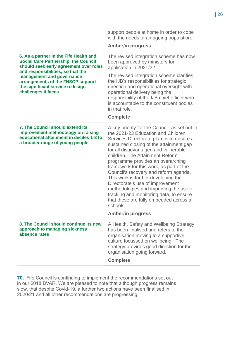|                                                                                                                                                                                                                                                                                                   | support people at home in order to cope<br>with the needs of an ageing population.<br><b>Amber/in progress</b>                                                                                                                                                                                                                                                                                                                                                                                                                                                                                                                       |
|---------------------------------------------------------------------------------------------------------------------------------------------------------------------------------------------------------------------------------------------------------------------------------------------------|--------------------------------------------------------------------------------------------------------------------------------------------------------------------------------------------------------------------------------------------------------------------------------------------------------------------------------------------------------------------------------------------------------------------------------------------------------------------------------------------------------------------------------------------------------------------------------------------------------------------------------------|
| 6. As a partner in the Fife Health and<br><b>Social Care Partnership, the Council</b><br>should seek early agreement over roles<br>and responsibilities, so that the<br>management and governance<br>arrangements of the FHSCP support<br>the significant service redesign<br>challenges it faces | The revised integration scheme has now<br>been approved by ministers for<br>application in 2021/22.                                                                                                                                                                                                                                                                                                                                                                                                                                                                                                                                  |
|                                                                                                                                                                                                                                                                                                   | The revised integration scheme clarifies<br>the IJB's responsibilities for strategic<br>direction and operational oversight with<br>operational delivery being the<br>responsibility of the IJB chief officer who<br>is accountable to the constituent bodies<br>in that role.                                                                                                                                                                                                                                                                                                                                                       |
|                                                                                                                                                                                                                                                                                                   | <b>Complete</b>                                                                                                                                                                                                                                                                                                                                                                                                                                                                                                                                                                                                                      |
| <b>7. The Council should extend its</b><br>improvement methodology on raising<br>educational attainment in deciles 1-3 to<br>a broader range of young people                                                                                                                                      | A key priority for the Council, as set out in<br>the 2021-23 Education and Children'<br>Services Directorate plan, is to ensure a<br>sustained closing of the attainment gap<br>for all disadvantaged and vulnerable<br>children. The Attainment Reform<br>programme provides an overarching<br>framework for this work, as part of the<br>Council's recovery and reform agenda.<br>This work is further developing the<br>Directorate's use of improvement<br>methodologies and improving the use of<br>tracking and monitoring data, to ensure<br>that these are fully embedded across all<br>schools.<br><b>Amber/in progress</b> |
| 8. The Council should continue its new<br>approach to managing sickness<br>absence rates                                                                                                                                                                                                          | A Health, Safety and Wellbeing Strategy<br>has been finalised and refers to the<br>organisation moving to a supportive<br>culture focussed on wellbeing. The<br>strategy provides good direction for the<br>organisation going forward.<br><b>Complete</b>                                                                                                                                                                                                                                                                                                                                                                           |

l,

**70.** Fife Council is continuing to implement the recommendations set out in our 2018 BVAR. We are pleased to note that although progress remains slow, that despite Covid-19, a further two actions have been finalised in 2020/21 and all other recommendations are progressing.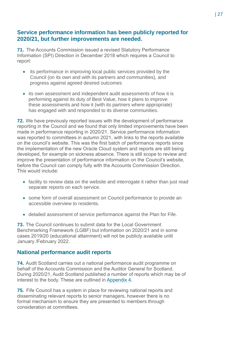#### **Service performance information has been publicly reported for 2020/21, but further improvements are needed.**

**71.** The Accounts Commission issued a revised Statutory Performance Information (SPI) Direction in December 2018 which requires a Council to report:

- its performance in improving local public services provided by the Council (on its own and with its partners and communities), and progress against agreed desired outcomes
- its own assessment and independent audit assessments of how it is performing against its duty of Best Value, how it plans to improve these assessments and how it (with its partners where appropriate) has engaged with and responded to its diverse communities.

**72.** We have previously reported issues with the development of performance reporting in the Council and we found that only limited improvements have been made in performance reporting in 2020/21. Service performance information was reported to committees in autumn 2021, with links to the reports available on the council's website. This was the first batch of performance reports since the implementation of the new Oracle Cloud system and reports are still being developed, for example on sickness absence. There is still scope to review and improve the presentation of performance information on the Council's website, before the Council can comply fully with the Accounts Commission Direction. This would include:

- facility to review data on the website and interrogate it rather than just read separate reports on each service.
- some form of overall assessment on Council performance to provide an accessible overview to residents.
- detailed assessment of service performance against the Plan for Fife.

**73.** The Council continues to submit data for the Local Government Benchmarking Framework (LGBF) but information on 2020/21 and in some cases 2019/20 (educational attainment) will not be publicly available until January /February 2022.

#### **National performance audit reports**

**74.** Audit Scotland carries out a national performance audit programme on behalf of the Accounts Commission and the Auditor General for Scotland. During 2020/21, Audit Scotland published a number of reports which may be of interest to the body. These are outlined in [Appendix 4.](#page-36-0)

**75.** Fife Council has a system in place for reviewing national reports and disseminating relevant reports to senior managers, however there is no formal mechanism to ensure they are presented to members through consideration at committees.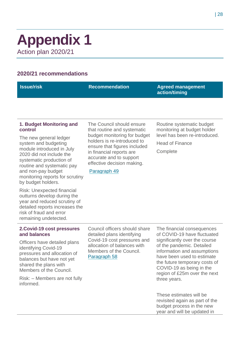### <span id="page-27-0"></span>**Appendix 1** Action plan 2020/21

#### **2020/21 recommendations**

| <b>Recommendation</b> | <b>Agreed management</b><br>action/timing |
|-----------------------|-------------------------------------------|
|                       |                                           |

#### <span id="page-27-1"></span>**1. Budget Monitoring and control**

The new general ledger system and budgeting module introduced in July 2020 did not include the systematic production of routine and systematic pay and non-pay budget monitoring reports for scrutiny by budget holders.

Risk: Unexpected financial outturns develop during the year and reduced scrutiny of detailed reports increases the risk of fraud and error remaining undetected.

The Council should ensure that routine and systematic budget monitoring for budget holders is re-introduced to ensure that figures included in financial reports are accurate and to support effective decision making.

#### [Paragraph 49](#page-18-0)

Routine systematic budget monitoring at budget holder level has been re-introduced.

Head of Finance

**Complete** 

#### **2.Covid-19 cost pressures and balances**

Officers have detailed plans identifying Covid-19 pressures and allocation of balances but have not yet shared the plans with Members of the Council.

Risk: – Members are not fully informed.

Council officers should share detailed plans identifying Covid-19 cost pressures and allocation of balances with Members of the Council. [Paragraph 58](#page-19-1)

The financial consequences of COVID-19 have fluctuated significantly over the course of the pandemic. Detailed information and assumptions have been used to estimate the future temporary costs of COVID-19 as being in the region of £25m over the next three years.

These estimates will be revisited again as part of the budget process in the new year and will be updated in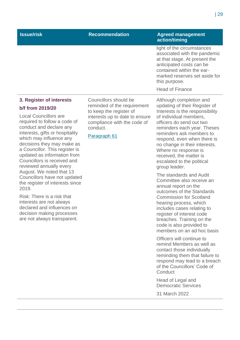| ssue/risk | <b>Recommendation</b> | <b>Agreed management</b><br>action/timing                                                                                                                                             |
|-----------|-----------------------|---------------------------------------------------------------------------------------------------------------------------------------------------------------------------------------|
|           |                       | light of the circumstances<br>associated with the pandemic<br>at that stage. At present the<br>anticipated costs can be<br>contained within the ear-<br>marked reserves set aside for |

#### **3. Register of interests b/f from 2019/20**

Local Councillors are required to follow a code of conduct and declare any interests, gifts or hospitality which may influence any decisions they may make as a Councillor. This register is updated as information from Councillors is received and reviewed annually every August. We noted that 13 Councillors have not updated the register of interests since 2019.

Risk: There is a risk that interests are not always declared and influences on decision making processes are not always transparent.

Councillors should be reminded of the requirement to keep the register of interests up to date to ensure compliance with the code of conduct.

[Paragraph 61](#page-22-0)

Although completion and updating of their Register of Interests is the responsibility of individual members, officers do send out two reminders each year. Theses reminders ask members to respond, even when there is no change in their interests. Where no response is received, the matter is escalated to the political group leader.

this purpose.

Head of Finance

The standards and Audit Committee also receive an annual report on the outcomes of the Standards Commission for Scotland hearing process, which includes cases relating to register of interest code breaches. Training on the code is also provided to members on an ad hoc basis

Officers will continue to remind Members as well as contact those individually reminding them that failure to respond may lead to a breach of the Councillors' Code of **Conduct** 

Head of Legal and Democratic Services

31 March 2022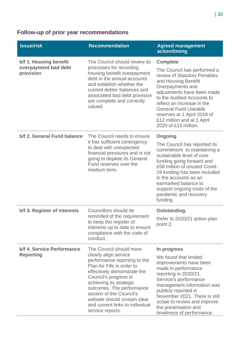### **Follow-up of prior year recommendations**

| <b>Issue/risk</b>                                           | <b>Recommendation</b>                                                                                                                                                                                                                                                                                                                            | <b>Agreed management</b><br>action/timing                                                                                                                                                                                                                                                                                                |
|-------------------------------------------------------------|--------------------------------------------------------------------------------------------------------------------------------------------------------------------------------------------------------------------------------------------------------------------------------------------------------------------------------------------------|------------------------------------------------------------------------------------------------------------------------------------------------------------------------------------------------------------------------------------------------------------------------------------------------------------------------------------------|
| b/f 1. Housing benefit<br>overpayment bad debt<br>provision | The Council should review its<br>processes for recording<br>housing benefit overpayment<br>debt in the annual accounts<br>and establish whether the<br>current debtor balances and<br>associated bad debt provision<br>are complete and correctly<br>valued.                                                                                     | <b>Complete</b><br>The Council has performed a<br>review of Statutory Penalties<br>and Housing Benefit<br>Overpayments and<br>adjustments have been made<br>to the Audited Accounts to<br>reflect an increase in the<br><b>General Fund Useable</b><br>reserves at 1 April 2019 of<br>£12 million and at 1 April<br>2020 of £13 million. |
| b/f 2. General Fund balance                                 | The Council needs to ensure<br>it has sufficient contingency<br>to deal with unexpected<br>financial pressures and is not<br>going to deplete its General<br>Fund reserves over the<br>medium term.                                                                                                                                              | Ongoing<br>The Council has reported its<br>commitment to maintaining a<br>sustainable level of core<br>funding going forward and<br>£58 million of unused Covid-<br>19 funding has been included<br>in the accounts as an<br>earmarked balance to<br>support ongoing costs of the<br>pandemic and recovery<br>funding.                   |
| b/f 3. Register of interests                                | Councillors should be<br>reminded of the requirement<br>to keep the register of<br>interests up to date to ensure<br>compliance with the code of<br>conduct.                                                                                                                                                                                     | Outstanding.<br>Refer to 2020/21 action plan<br>point 2.                                                                                                                                                                                                                                                                                 |
| b/f 4. Service Performance<br><b>Reporting</b>              | The Council should more<br>clearly align service<br>performance reporting to the<br>Plan for Fife in order to<br>effectively demonstrate the<br>Council's progress in<br>achieving its strategic<br>outcomes. The performance<br>section of the Council's<br>website should contain clear<br>and current links to individual<br>service reports. | In progress<br>We found that limited<br>improvements have been<br>made in performance<br>reporting in 2020/21.<br>Service's performance<br>management information was<br>publicly reported in<br>November 2021. There is still<br>scope to review and improve<br>the presentation and<br>timeliness of performance                       |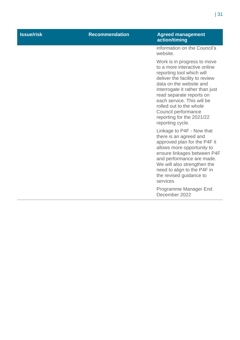| <b>Issue/risk</b> | <b>Recommendation</b> | <b>Agreed management</b><br>action/timing                                                                                                                                                                                                                                                                                                             |
|-------------------|-----------------------|-------------------------------------------------------------------------------------------------------------------------------------------------------------------------------------------------------------------------------------------------------------------------------------------------------------------------------------------------------|
|                   |                       | information on the Council's<br>website.                                                                                                                                                                                                                                                                                                              |
|                   |                       | Work is in progress to move<br>to a more interactive online<br>reporting tool which will<br>deliver the facility to review<br>data on the website and<br>interrogate it rather than just<br>read separate reports on<br>each service. This will be<br>rolled out to the whole<br>Council performance<br>reporting for the 2021/22<br>reporting cycle. |
|                   |                       | Linkage to P4F - Now that<br>there is an agreed and<br>approved plan for the P4F it<br>allows more opportunity to<br>ensure linkages between P4F<br>and performance are made.<br>We will also strengthen the<br>need to align to the P4F in<br>the revised guidance to<br>services                                                                    |
|                   |                       | Programme Manager End<br>December 2022                                                                                                                                                                                                                                                                                                                |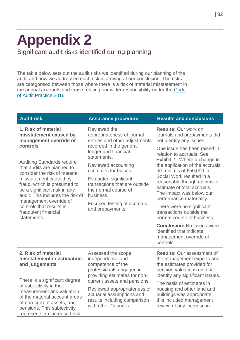### <span id="page-31-0"></span>**Appendix 2**  Significant audit risks identified during planning

The table below sets out the audit risks we identified during our planning of the audit and how we addressed each risk in arriving at our conclusion. The risks are categorised between those where there is a risk of material misstatement in the annual accounts and those relating our wider responsibility under the [Code](http://www.audit-scotland.gov.uk/report/code-of-audit-practice-2016)  [of Audit Practice 2016.](http://www.audit-scotland.gov.uk/report/code-of-audit-practice-2016)

| <b>Audit risk</b>                                                                                                                                                                                                                                                                                                          | <b>Assurance procedure</b>                                                                                               | <b>Results and conclusions</b>                                                                                                                                                                                  |
|----------------------------------------------------------------------------------------------------------------------------------------------------------------------------------------------------------------------------------------------------------------------------------------------------------------------------|--------------------------------------------------------------------------------------------------------------------------|-----------------------------------------------------------------------------------------------------------------------------------------------------------------------------------------------------------------|
| 1. Risk of material<br>misstatement caused by<br>management override of                                                                                                                                                                                                                                                    | Reviewed the<br>appropriateness of journal<br>entries and other adjustments                                              | <b>Results: Our work on</b><br>journals and prepayments did<br>not identify any issues.                                                                                                                         |
| controls                                                                                                                                                                                                                                                                                                                   | recorded in the general<br>ledger and financial<br>statements.                                                           | One issue has been raised in<br>relation to accruals. See<br>Exhibit 2. Where a change in                                                                                                                       |
| <b>Auditing Standards require</b><br>that audits are planned to<br>consider the risk of material<br>misstatement caused by<br>fraud, which is presumed to<br>be a significant risk in any<br>audit. This includes the risk of<br>management override of<br>controls that results in<br>fraudulent financial<br>statements. | Reviewed accounting<br>estimates for biases.                                                                             | the application of the accruals<br>de-minimis of £50,000 in<br>Social Work resulted in a<br>reasonable though optimistic<br>estimate of total accruals.<br>The impact was below our<br>performance materiality. |
|                                                                                                                                                                                                                                                                                                                            | <b>Evaluated significant</b><br>transactions that are outside<br>the normal course of<br>business.                       |                                                                                                                                                                                                                 |
|                                                                                                                                                                                                                                                                                                                            | Focused testing of accruals<br>and prepayments                                                                           | There were no significant<br>transactions outside the<br>normal course of business.                                                                                                                             |
|                                                                                                                                                                                                                                                                                                                            |                                                                                                                          | <b>Conclusion: No issues were</b><br>identified that indicate<br>management override of<br>controls.                                                                                                            |
| 2. Risk of material<br>misstatement in estimation<br>and judgements                                                                                                                                                                                                                                                        | Assessed the scope,<br>independence and<br>competence of the<br>professionals engaged in<br>providing estimates for non- | <b>Results: Our assessment of</b><br>the management experts and<br>the estimates provided for<br>pension valuations did not<br>identify any significant issues.                                                 |
| There is a significant degree<br>of subjectivity in the<br>measurement and valuation<br>of the material account areas<br>of non-current assets, and<br>pensions. This subjectivity<br>represents an increased risk                                                                                                         | current assets and pensions.                                                                                             | The basis of estimates in                                                                                                                                                                                       |
|                                                                                                                                                                                                                                                                                                                            | Reviewed appropriateness of<br>actuarial assumptions and<br>results including comparison<br>with other Councils.         | housing and other land and<br>buildings was appropriate,<br>this included management<br>review of any increase in                                                                                               |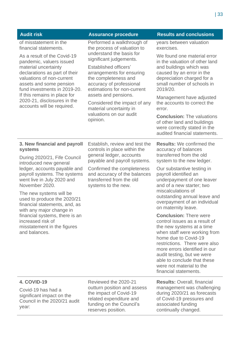| <b>Audit risk</b>                                                                                                                                                                                                                                                                                                                                                                                                                               | <b>Assurance procedure</b>                                                                                                                                                                                                                                                                                                    | <b>Results and conclusions</b>                                                                                                                                                                                                                                                                                                                                                                                                                                                                                                                                                                                                                                                              |
|-------------------------------------------------------------------------------------------------------------------------------------------------------------------------------------------------------------------------------------------------------------------------------------------------------------------------------------------------------------------------------------------------------------------------------------------------|-------------------------------------------------------------------------------------------------------------------------------------------------------------------------------------------------------------------------------------------------------------------------------------------------------------------------------|---------------------------------------------------------------------------------------------------------------------------------------------------------------------------------------------------------------------------------------------------------------------------------------------------------------------------------------------------------------------------------------------------------------------------------------------------------------------------------------------------------------------------------------------------------------------------------------------------------------------------------------------------------------------------------------------|
| of misstatement in the<br>financial statements.                                                                                                                                                                                                                                                                                                                                                                                                 | Performed a walkthrough of<br>the process of valuation to                                                                                                                                                                                                                                                                     | years between valuation<br>exercises.                                                                                                                                                                                                                                                                                                                                                                                                                                                                                                                                                                                                                                                       |
| As a result of the Covid-19<br>pandemic, valuers issued<br>material uncertainty<br>declarations as part of their<br>valuations of non-current<br>assets and some pension<br>fund investments in 2019-20.<br>If this remains in place for<br>2020-21, disclosures in the<br>accounts will be required.                                                                                                                                           | understand the basis for<br>significant judgements.<br><b>Established officers'</b><br>arrangements for ensuring<br>the completeness and<br>accuracy of professional<br>estimations for non-current<br>assets and pensions.<br>Considered the impact of any<br>material uncertainty in<br>valuations on our audit<br>opinion. | We found one material error<br>in the valuation of other land<br>and buildings which was<br>caused by an error in the<br>depreciation charged for a<br>small number of schools in<br>2019/20.<br>Management have adjusted<br>the accounts to correct the<br>error.<br><b>Conclusion: The valuations</b><br>of other land and buildings<br>were correctly stated in the<br>audited financial statements.                                                                                                                                                                                                                                                                                     |
| 3. New financial and payroll<br>systems<br>During 2020/21, Fife Council<br>introduced new general<br>ledger, accounts payable and<br>payroll systems. The systems<br>went live in July 2020 and<br>November 2020.<br>The new systems will be<br>used to produce the 2020/21<br>financial statements, and, as<br>with any major change in<br>financial systems, there is an<br>increased risk of<br>misstatement in the figures<br>and balances. | Establish, review and test the<br>controls in place within the<br>general ledger, accounts<br>payable and payroll systems.<br>Confirmed the completeness<br>and accuracy of the balances<br>transferred from the old<br>systems to the new.                                                                                   | <b>Results:</b> We confirmed the<br>accuracy of balances<br>transferred from the old<br>system to the new ledger.<br>Our substantive testing in<br>payroll identified an<br>underpayment of one leaver<br>and of a new starter; two<br>miscalculations of<br>outstanding annual leave and<br>overpayment of an individual<br>on maternity leave.<br><b>Conclusion: There were</b><br>control issues as a result of<br>the new systems at a time<br>when staff were working from<br>home due to Covid-19<br>restrictions. There were also<br>more errors identified in our<br>audit testing, but we were<br>able to conclude that these<br>were not material to the<br>financial statements. |
| 4. COVID-19<br>Covid-19 has had a<br>significant impact on the<br>Council in the 2020/21 audit<br>year:                                                                                                                                                                                                                                                                                                                                         | Reviewed the 2020-21<br>outturn position and assess<br>the impact of Covid-19<br>related expenditure and<br>funding on the Council's<br>reserves position.                                                                                                                                                                    | <b>Results: Overall, financial</b><br>management was challenging<br>during 2020/21 as forecasts<br>of Covid-19 pressures and<br>associated funding<br>continually changed.                                                                                                                                                                                                                                                                                                                                                                                                                                                                                                                  |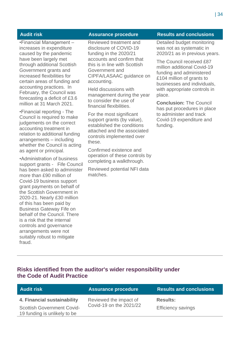•Financial Management – increases in expenditure caused by the pandemic have been largely met through additional Scottish Government grants and increased flexibilities for certain areas of funding and accounting practices. In February, the Council was forecasting a deficit of £3.6 million at 31 March 2021.

•Financial reporting - The Council is required to make judgements on the correct accounting treatment in relation to additional funding arrangements – including whether the Council is acting as agent or principal.

•Administration of business support grants - Fife Council has been asked to administer more than £90 million of Covid-19 business support grant payments on behalf of the Scottish Government in 2020-21. Nearly £30 million of this has been paid by Business Gateway Fife on behalf of the Council. There is a risk that the internal controls and governance arrangements were not suitably robust to mitigate fraud.

Reviewed treatment and disclosure of COVID-19 funding in the 2020/21 accounts and confirm that this is in line with Scottish Government and CIPFA/LASAAC guidance on accounting.

Held discussions with management during the year to consider the use of financial flexibilities.

For the most significant support grants (by value), established the conditions attached and the associated controls implemented over these.

Confirmed existence and operation of these controls by completing a walkthrough.

Reviewed potential NFI data matches.

#### **Audit risk Assurance procedure Results and conclusions**

Detailed budget monitoring was not as systematic in 2020/21 as in previous years.

The Council received £87 million additional Covid-19 funding and administered £104 million of grants to businesses and individuals, with appropriate controls in place.

**Conclusion:** The Council has put procedures in place to administer and track Covid-19 expenditure and funding.

#### **Risks identified from the auditor's wider responsibility under the Code of Audit Practice**

| Audit risk                                                        | <b>Assurance procedure</b>                        | <b>Results and conclusions</b> |
|-------------------------------------------------------------------|---------------------------------------------------|--------------------------------|
| 4. Financial sustainability                                       | Reviewed the impact of<br>Covid-19 on the 2021/22 | <b>Results:</b>                |
| <b>Scottish Government Covid-</b><br>19 funding is unlikely to be |                                                   | <b>Efficiency savings</b>      |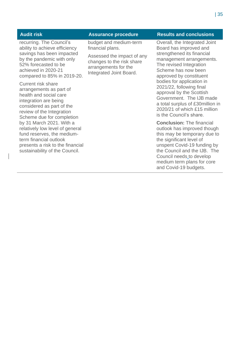recurring. The Council's ability to achieve efficiency savings has been impacted by the pandemic with only 52% forecasted to be achieved in 2020-21 compared to 85% in 2019-20.

Current risk share arrangements as part of health and social care integration are being considered as part of the review of the Integration Scheme due for completion by 31 March 2021. With a relatively low level of general fund reserves, the mediumterm financial outlook presents a risk to the financial sustainability of the Council.

budget and medium-term financial plans.

Assessed the impact of any changes to the risk share arrangements for the Integrated Joint Board.

#### **Audit risk Assurance procedure Results and conclusions**

Overall, the Integrated Joint Board has improved and strengthened its financial management arrangements. The revised Integration Scheme has now been approved by constituent bodies for application in 2021/22, following final approval by the Scottish Government. The IJB made a total surplus of £30million in 2020/21 of which £15 million is the Council's share.

**Conclusion:** The financial outlook has improved though this may be temporary due to the significant level of unspent Covid-19 funding by the Council and the IJB. The Council needs to develop medium term plans for core and Covid-19 budgets.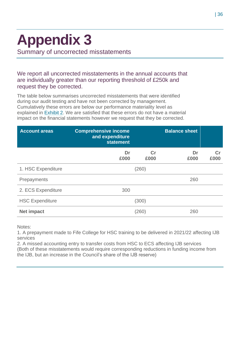# <span id="page-35-0"></span>**Appendix 3**

Summary of uncorrected misstatements

#### We report all uncorrected misstatements in the annual accounts that are individually greater than our reporting threshold of £250k and request they be corrected.

The table below summarises uncorrected misstatements that were identified during our audit testing and have not been corrected by management. Cumulatively these errors are below our performance materiality level as explained in [Exhibit 2.](#page-27-1) We are satisfied that these errors do not have a material impact on the financial statements however we request that they be corrected.

| <b>Account areas</b>   | <b>Comprehensive income</b><br>and expenditure<br><b>statement</b> |                        | <b>Balance sheet</b> |                        |
|------------------------|--------------------------------------------------------------------|------------------------|----------------------|------------------------|
|                        | Dr<br>£000                                                         | $\mathbf{C}$ r<br>£000 | Dr<br>£000           | $\mathbf{C}$ r<br>£000 |
| 1. HSC Expenditure     |                                                                    | (260)                  |                      |                        |
| Prepayments            |                                                                    |                        | 260                  |                        |
| 2. ECS Expenditure     | 300                                                                |                        |                      |                        |
| <b>HSC Expenditure</b> |                                                                    | (300)                  |                      |                        |
| <b>Net impact</b>      |                                                                    | (260)                  | 260                  |                        |

Notes:

1. A prepayment made to Fife College for HSC training to be delivered in 2021/22 affecting IJB services

2. A missed accounting entry to transfer costs from HSC to ECS affecting IJB services (Both of these misstatements would require corresponding reductions in funding income from the IJB, but an increase in the Council's share of the IJB reserve)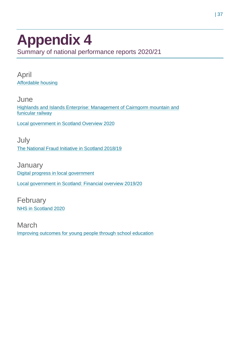### <span id="page-36-0"></span>**Appendix 4** Summary of national performance reports 2020/21

April [Affordable housing](https://www.audit-scotland.gov.uk/report/affordable-housing)

**June** [Highlands and Islands Enterprise: Management of Cairngorm mountain and](https://www.audit-scotland.gov.uk/report/highlands-and-islands-enterprise-management-of-cairngorm-mountain-and-funicular-railway)  [funicular railway](https://www.audit-scotland.gov.uk/report/highlands-and-islands-enterprise-management-of-cairngorm-mountain-and-funicular-railway)

[Local government in Scotland Overview 2020](https://www.audit-scotland.gov.uk/report/local-government-in-scotland-overview-2020)

July [The National Fraud Initiative in Scotland 2018/19](https://www.audit-scotland.gov.uk/report/the-national-fraud-initiative-in-scotland-201819)

**January** [Digital progress in local government](https://www.audit-scotland.gov.uk/report/digital-progress-in-local-government) [Local government in Scotland: Financial overview 2019/20](https://www.audit-scotland.gov.uk/report/local-government-in-scotland-financial-overview-201920)

February [NHS in Scotland 2020](https://www.audit-scotland.gov.uk/report/nhs-in-scotland-2020)

March [Improving outcomes for young people through school education](https://www.audit-scotland.gov.uk/report/improving-outcomes-for-young-people-through-school-education)